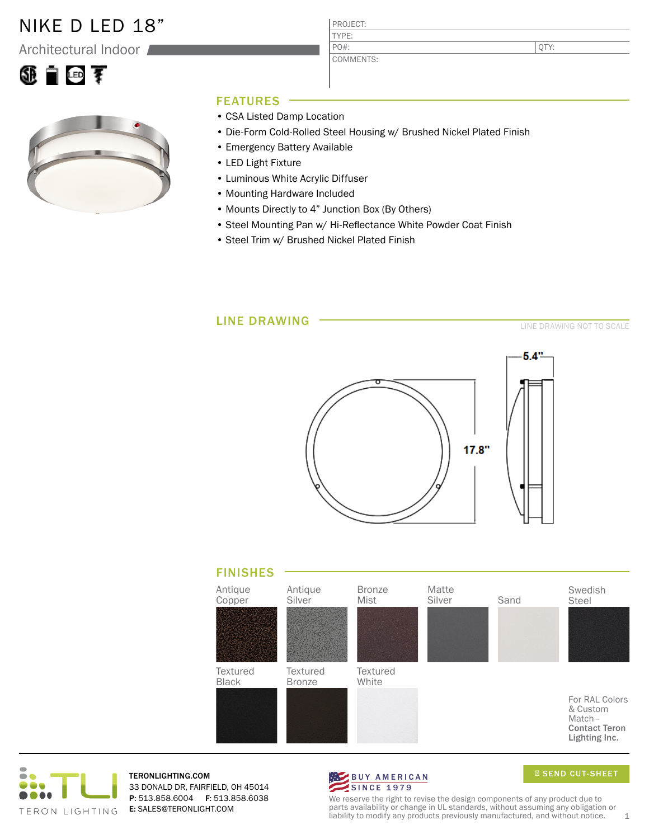## NIKE D LED 18"

Architectural Indoor





### FEATURES

- CSA Listed Damp Location
- Die-Form Cold-Rolled Steel Housing w/ Brushed Nickel Plated Finish

PROJECT: TYPE:

PO#:

COMMENTS:

- Emergency Battery Available
- LED Light Fixture
- Luminous White Acrylic Diffuser
- Mounting Hardware Included
- Mounts Directly to 4" Junction Box (By Others)
- Steel Mounting Pan w/ Hi-Reflectance White Powder Coat Finish
- Steel Trim w/ Brushed Nickel Plated Finish







TERONLIGHTING.COM 33 DONALD DR, FAIRFIELD, OH 45014 P: 513.858.6004 F: 513.858.6038 E: SALES@TERONLIGHT.COM



SEND CUT-SHEET

QTY:

We reserve the right to revise the design components of any product due to parts availability or change in UL standards, without assuming any obligation or liability to modify any products previously manufactured, and without notice.  $1$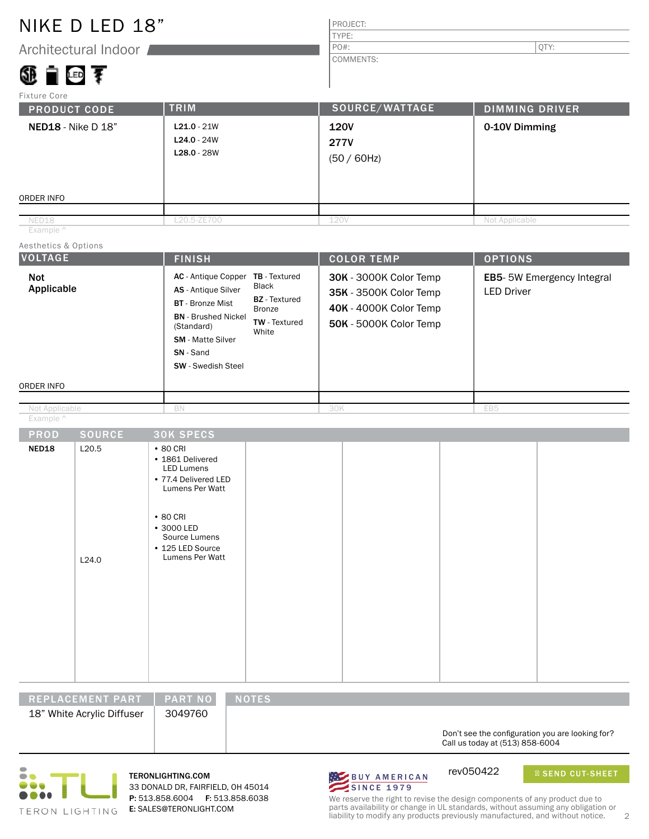## NIKE D LED 18"

Architectural Indoor

## ④■回す

#### PROJECT: TYPE:

PO#:  $|\text{QTY:}|$ 

COMMENTS:

| Fixture Core        |  |
|---------------------|--|
| <b>DOADHAT CADE</b> |  |

| <b>PRODUCT CODE</b>       | <b>TRIM</b>                                     | SOURCE/WATTAGE                               | <b>DIMMING DRIVER</b> |
|---------------------------|-------------------------------------------------|----------------------------------------------|-----------------------|
| <b>NED18</b> - Nike D 18" | $L21.0 - 21W$<br>$L24.0 - 24W$<br>$L28.0 - 28W$ | <b>120V</b><br><b>277V</b><br>$(50 / 60$ Hz) | 0-10V Dimming         |
| ORDER INFO                |                                                 |                                              |                       |
|                           |                                                 |                                              |                       |
| NED18                     | L20.5-ZE700                                     | 120V                                         | Not Applicable        |

Example ^

Aesthetics & Options

| <b>VOLTAGE</b>           | <b>FINISH</b>                                                                                                                                                                                                                                                                                                    | <b>COLOR TEMP</b>                                                                                           | <b>OPTIONS</b>                                 |
|--------------------------|------------------------------------------------------------------------------------------------------------------------------------------------------------------------------------------------------------------------------------------------------------------------------------------------------------------|-------------------------------------------------------------------------------------------------------------|------------------------------------------------|
| <b>Not</b><br>Applicable | <b>AC</b> - Antique Copper<br><b>TB</b> - Textured<br>Black<br><b>AS</b> - Antique Silver<br><b>BZ</b> - Textured<br><b>BT</b> - Bronze Mist<br>Bronze<br><b>BN</b> - Brushed Nickel<br><b>TW</b> - Textured<br>(Standard)<br>White<br><b>SM</b> - Matte Silver<br><b>SN</b> - Sand<br><b>SW</b> - Swedish Steel | 30K - 3000K Color Temp<br>35K - 3500K Color Temp<br><b>40K - 4000K Color Temp</b><br>50K - 5000K Color Temp | EB5-5W Emergency Integral<br><b>LED Driver</b> |
| ORDER INFO               |                                                                                                                                                                                                                                                                                                                  |                                                                                                             |                                                |
|                          |                                                                                                                                                                                                                                                                                                                  |                                                                                                             |                                                |
| Not Applicable           | BN                                                                                                                                                                                                                                                                                                               | 30K                                                                                                         | EB5                                            |

Example ^

| <b>PROD</b> | <b>SOURCE</b> | <b>30K SPECS</b>                                                                                   |  |  |
|-------------|---------------|----------------------------------------------------------------------------------------------------|--|--|
| NED18       | L20.5         | $\cdot$ 80 CRI<br>• 1861 Delivered<br><b>LED Lumens</b><br>• 77.4 Delivered LED<br>Lumens Per Watt |  |  |
|             | L24.0         | $\cdot$ 80 CRI<br>• 3000 LED<br>Source Lumens<br>• 125 LED Source<br>Lumens Per Watt               |  |  |
|             |               |                                                                                                    |  |  |

| REPLACEMENT PART           | <b>PART NO</b> | <b>NOTES</b>                                                                        |
|----------------------------|----------------|-------------------------------------------------------------------------------------|
| 18" White Acrylic Diffuser | 3049760        |                                                                                     |
|                            |                | Don't see the configuration you are looking for?<br>Call us today at (513) 858-6004 |



33 DONALD DR, FAIRFIELD, OH 45014 P: 513.858.6004 F: 513.858.6038 E: SALES@TERONLIGHT.COM



SEND CUT-SHEET

We reserve the right to revise the design components of any product due to parts availability or change in UL standards, without assuming any obligation or liability to modify any products previously manufactured, and without notice. 2